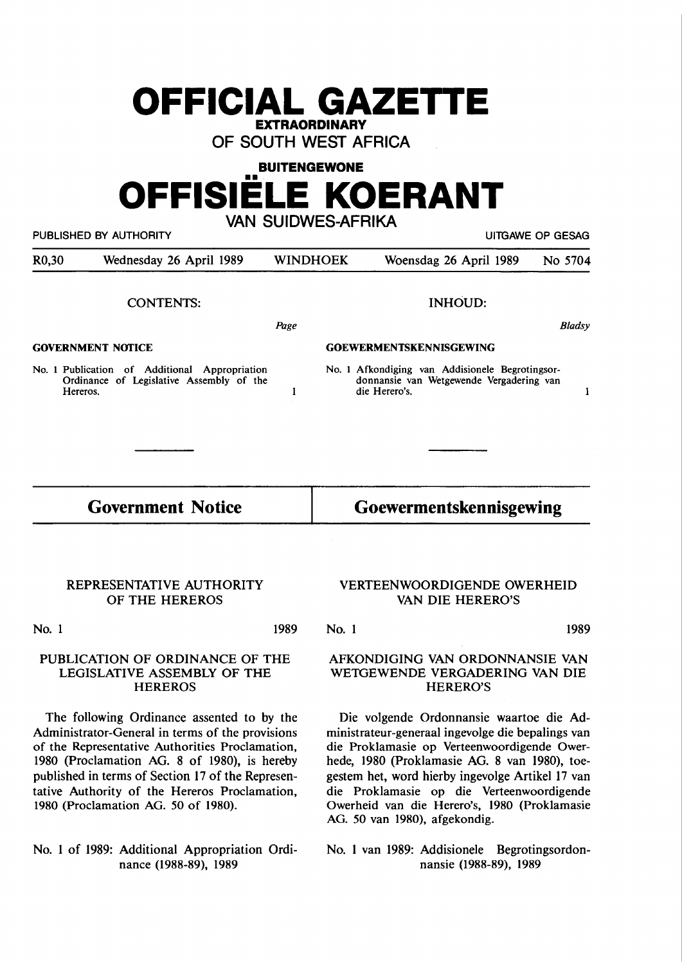# **OFFICIAL GAZETIE EXTRAORDINARY**

**OF SOUTH WEST AFRICA** 

# **BUITENGEWONE**  ••• **OFFISIELE KOERANT**

**VAN SUIDWES-AFRIKA** 

PUBLISHED BY AUTHORITY **EXECUTE A SECURE 2018 THE SECURE 2019 OF SESAGRAPH** 

| R <sub>0</sub> ,30 | Wednesday 26 April 1989                                                                                  | <b>WINDHOEK</b>                | Woensdag 26 April 1989<br>No 5704                                                                            |  |  |
|--------------------|----------------------------------------------------------------------------------------------------------|--------------------------------|--------------------------------------------------------------------------------------------------------------|--|--|
|                    | <b>CONTENTS:</b>                                                                                         |                                | <b>INHOUD:</b>                                                                                               |  |  |
|                    |                                                                                                          | Page                           | <b>Bladsy</b>                                                                                                |  |  |
|                    | <b>GOVERNMENT NOTICE</b>                                                                                 | <b>GOEWERMENTSKENNISGEWING</b> |                                                                                                              |  |  |
|                    | No. 1 Publication of Additional<br>Appropriation<br>Ordinance of Legislative Assembly of the<br>Hereros. |                                | No. 1 Afkondiging van Addisionele Begrotingsor-<br>donnansie van Wetgewende Vergadering van<br>die Herero's. |  |  |

### **Government Notice**

#### **Goewermentskennisgewing**

#### **REPRESENTATIVE AUTHORITY OF THE HEREROS**

**No. 1** 

**1989** 

#### **PUBLICATION OF ORDINANCE OF THE LEGISLATIVE ASSEMBLY OF THE HEREROS**

The following Ordinance assented to by the Administrator-General in terms of the provisions of the Representative Authorities Proclamation, 1980 (Proclamation **AG. 8** of 1980), is hereby published in terms of Section 17 of the Representative Authority of the Hereros Proclamation, 1980 (Proclamation AG. 50 of 1980).

No. 1 of 1989: Additional Appropriation Ordinance (1988-89), 1989

#### **VERTEENWOORDIGENDE OWERHEID VAN DIE HERERO'S**

**No. 1 1989** 

#### **AFKONDIGING VAN ORDONNANSIE VAN WE1GEWENDE VERGADERING VAN DIE HERERO'S**

Die volgende Ordonnansie waartoe die Administrateur-generaal ingevolge die bepalings van die Proklamasie op Verteenwoordigende Owerhede, 1980 (Proklamasie AG. 8 van 1980), toegestem het, word hierby ingevolge Artikel 17 van die Proklamasie op die Verteenwoordigende Owerheid van die Herero's, 1980 (Proklamasie AG. 50 van 1980), afgekondig.

No. 1 van 1989: Addisionele Begrotingsordonnansie (1988-89), 1989